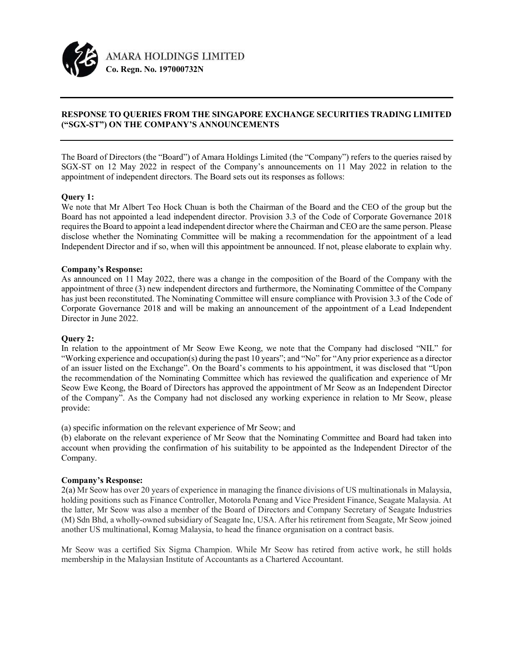

# RESPONSE TO QUERIES FROM THE SINGAPORE EXCHANGE SECURITIES TRADING LIMITED ("SGX-ST") ON THE COMPANY'S ANNOUNCEMENTS

The Board of Directors (the "Board") of Amara Holdings Limited (the "Company") refers to the queries raised by SGX-ST on 12 May 2022 in respect of the Company's announcements on 11 May 2022 in relation to the appointment of independent directors. The Board sets out its responses as follows:

## Query 1:

We note that Mr Albert Teo Hock Chuan is both the Chairman of the Board and the CEO of the group but the Board has not appointed a lead independent director. Provision 3.3 of the Code of Corporate Governance 2018 requires the Board to appoint a lead independent director where the Chairman and CEO are the same person. Please disclose whether the Nominating Committee will be making a recommendation for the appointment of a lead Independent Director and if so, when will this appointment be announced. If not, please elaborate to explain why.

## Company's Response:

As announced on 11 May 2022, there was a change in the composition of the Board of the Company with the appointment of three (3) new independent directors and furthermore, the Nominating Committee of the Company has just been reconstituted. The Nominating Committee will ensure compliance with Provision 3.3 of the Code of Corporate Governance 2018 and will be making an announcement of the appointment of a Lead Independent Director in June 2022.

#### Query 2:

In relation to the appointment of Mr Seow Ewe Keong, we note that the Company had disclosed "NIL" for "Working experience and occupation(s) during the past 10 years"; and "No" for "Any prior experience as a director of an issuer listed on the Exchange". On the Board's comments to his appointment, it was disclosed that "Upon the recommendation of the Nominating Committee which has reviewed the qualification and experience of Mr Seow Ewe Keong, the Board of Directors has approved the appointment of Mr Seow as an Independent Director of the Company". As the Company had not disclosed any working experience in relation to Mr Seow, please provide:

(a) specific information on the relevant experience of Mr Seow; and

(b) elaborate on the relevant experience of Mr Seow that the Nominating Committee and Board had taken into account when providing the confirmation of his suitability to be appointed as the Independent Director of the Company.

#### Company's Response:

2(a) Mr Seow has over 20 years of experience in managing the finance divisions of US multinationals in Malaysia, holding positions such as Finance Controller, Motorola Penang and Vice President Finance, Seagate Malaysia. At the latter, Mr Seow was also a member of the Board of Directors and Company Secretary of Seagate Industries (M) Sdn Bhd, a wholly-owned subsidiary of Seagate Inc, USA. After his retirement from Seagate, Mr Seow joined another US multinational, Komag Malaysia, to head the finance organisation on a contract basis.

Mr Seow was a certified Six Sigma Champion. While Mr Seow has retired from active work, he still holds membership in the Malaysian Institute of Accountants as a Chartered Accountant.